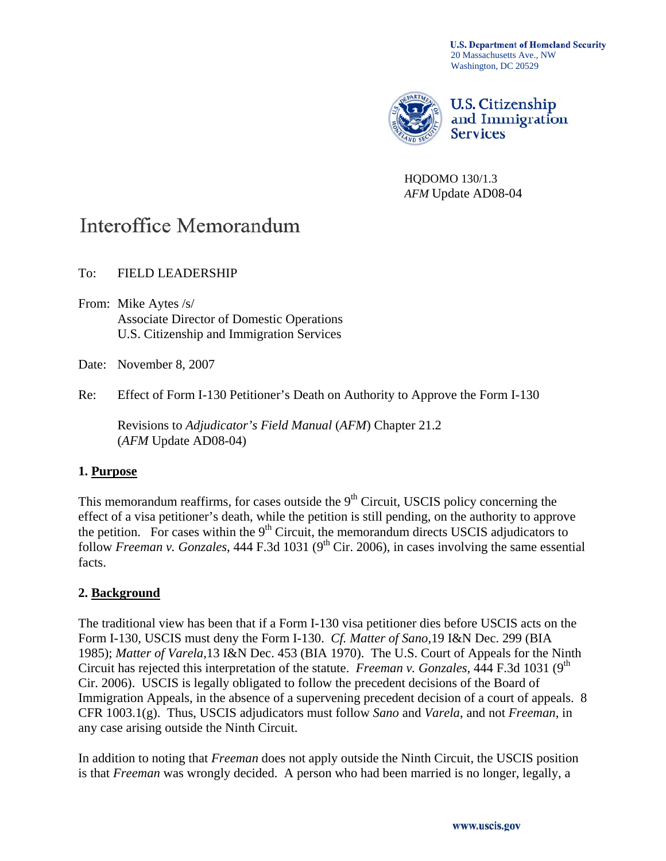**U.S. Department of Homeland Security** 20 Massachusetts Ave., NW Washington, DC 20529



HQDOMO 130/1.3 *AFM* Update AD08-04

# Interoffice Memorandum

To: FIELD LEADERSHIP

From: Mike Aytes /s/ Associate Director of Domestic Operations U.S. Citizenship and Immigration Services

Date: November 8, 2007

Re: Effect of Form I-130 Petitioner's Death on Authority to Approve the Form I-130

Revisions to *Adjudicator's Field Manual* (*AFM*) Chapter 21.2 (*AFM* Update AD08-04)

# **1. Purpose**

This memorandum reaffirms, for cases outside the  $9<sup>th</sup>$  Circuit, USCIS policy concerning the effect of a visa petitioner's death, while the petition is still pending, on the authority to approve the petition. For cases within the  $9<sup>th</sup>$  Circuit, the memorandum directs USCIS adjudicators to follow *Freeman v. Gonzales*, 444 F.3d 1031 (9<sup>th</sup> Cir. 2006), in cases involving the same essential facts.

# **2. Background**

The traditional view has been that if a Form I-130 visa petitioner dies before USCIS acts on the Form I-130, USCIS must deny the Form I-130. *Cf. Matter of Sano,*19 I&N Dec. 299 (BIA 1985); *Matter of Varela,*13 I&N Dec. 453 (BIA 1970). The U.S. Court of Appeals for the Ninth Circuit has rejected this interpretation of the statute. *Freeman v. Gonzales,* 444 F.3d 1031 (9th Cir. 2006). USCIS is legally obligated to follow the precedent decisions of the Board of Immigration Appeals, in the absence of a supervening precedent decision of a court of appeals. 8 CFR 1003.1(g). Thus, USCIS adjudicators must follow *Sano* and *Varela*, and not *Freeman,* in any case arising outside the Ninth Circuit.

In addition to noting that *Freeman* does not apply outside the Ninth Circuit, the USCIS position is that *Freeman* was wrongly decided. A person who had been married is no longer, legally, a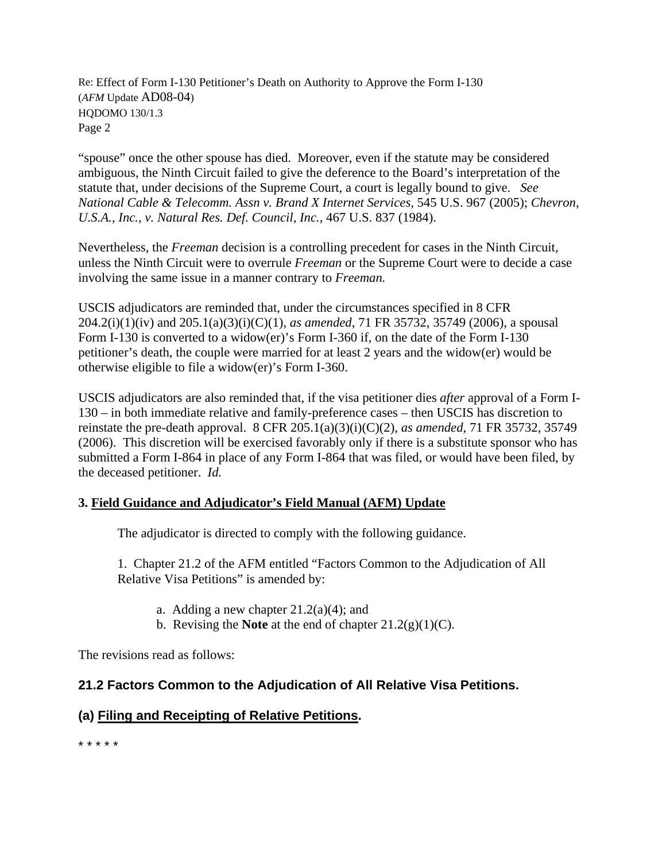"spouse" once the other spouse has died. Moreover, even if the statute may be considered ambiguous, the Ninth Circuit failed to give the deference to the Board's interpretation of the statute that, under decisions of the Supreme Court, a court is legally bound to give. *See National Cable & Telecomm. Assn v. Brand X Internet Services,* 545 U.S. 967 (2005); *Chevron, U.S.A., Inc., v. Natural Res. Def. Council, Inc.,* 467 U.S. 837 (1984).

Nevertheless, the *Freeman* decision is a controlling precedent for cases in the Ninth Circuit, unless the Ninth Circuit were to overrule *Freeman* or the Supreme Court were to decide a case involving the same issue in a manner contrary to *Freeman.* 

USCIS adjudicators are reminded that, under the circumstances specified in 8 CFR 204.2(i)(1)(iv) and 205.1(a)(3)(i)(C)(1), *as amended*, 71 FR 35732, 35749 (2006), a spousal Form I-130 is converted to a widow(er)'s Form I-360 if, on the date of the Form I-130 petitioner's death, the couple were married for at least 2 years and the widow(er) would be otherwise eligible to file a widow(er)'s Form I-360.

USCIS adjudicators are also reminded that, if the visa petitioner dies *after* approval of a Form I-130 – in both immediate relative and family-preference cases – then USCIS has discretion to reinstate the pre-death approval. 8 CFR 205.1(a)(3)(i)(C)(2), *as amended*, 71 FR 35732, 35749 (2006). This discretion will be exercised favorably only if there is a substitute sponsor who has submitted a Form I-864 in place of any Form I-864 that was filed, or would have been filed, by the deceased petitioner. *Id.*

# **3. Field Guidance and Adjudicator's Field Manual (AFM) Update**

The adjudicator is directed to comply with the following guidance.

1. Chapter 21.2 of the AFM entitled "Factors Common to the Adjudication of All Relative Visa Petitions" is amended by:

- a. Adding a new chapter  $21.2(a)(4)$ ; and
- b. Revising the **Note** at the end of chapter 21.2(g)(1)(C).

The revisions read as follows:

# **21.2 Factors Common to the Adjudication of All Relative Visa Petitions.**

# **(a) Filing and Receipting of Relative Petitions.**

\* \* \* \* \*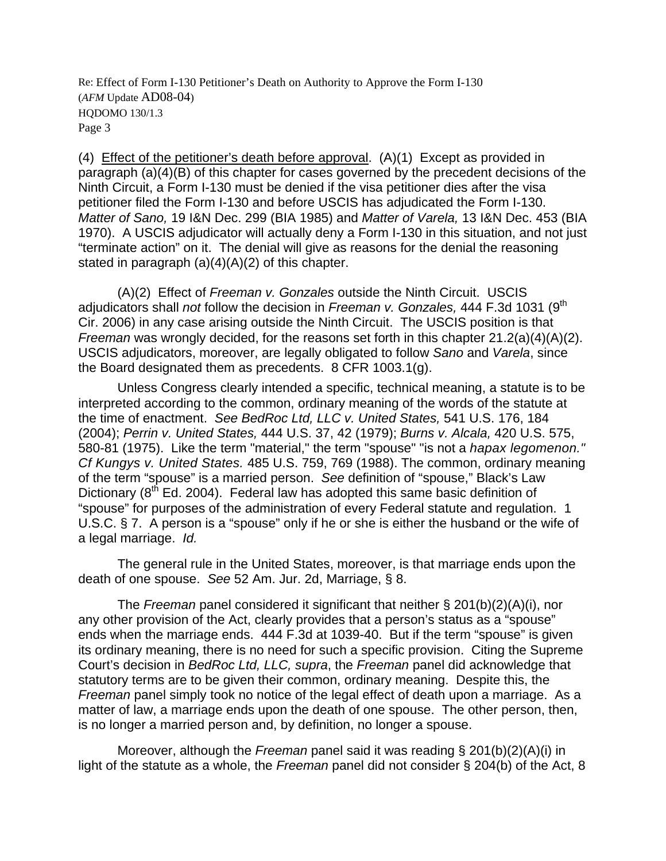(4) Effect of the petitioner's death before approval. (A)(1) Except as provided in paragraph (a)(4)(B) of this chapter for cases governed by the precedent decisions of the Ninth Circuit, a Form I-130 must be denied if the visa petitioner dies after the visa petitioner filed the Form I-130 and before USCIS has adjudicated the Form I-130. *Matter of Sano,* 19 I&N Dec. 299 (BIA 1985) and *Matter of Varela,* 13 I&N Dec. 453 (BIA 1970). A USCIS adjudicator will actually deny a Form I-130 in this situation, and not just "terminate action" on it. The denial will give as reasons for the denial the reasoning stated in paragraph  $(a)(4)(A)(2)$  of this chapter.

 (A)(2) Effect of *Freeman v. Gonzales* outside the Ninth Circuit. USCIS adjudicators shall *not* follow the decision in *Freeman v. Gonzales,* 444 F.3d 1031 (9th Cir. 2006) in any case arising outside the Ninth Circuit. The USCIS position is that *Freeman* was wrongly decided, for the reasons set forth in this chapter 21.2(a)(4)(A)(2). USCIS adjudicators, moreover, are legally obligated to follow *Sano* and *Varela*, since the Board designated them as precedents. 8 CFR 1003.1(g).

Unless Congress clearly intended a specific, technical meaning, a statute is to be interpreted according to the common, ordinary meaning of the words of the statute at the time of enactment. *See BedRoc Ltd, LLC v. United States,* 541 U.S. 176, 184 (2004); *Perrin v. United States,* 444 U.S. 37, 42 (1979); *Burns v. Alcala,* 420 U.S. 575, 580-81 (1975). Like the term "material," the term "spouse" "is not a *hapax legomenon." Cf Kungys v. United States.* 485 U.S. 759, 769 (1988). The common, ordinary meaning of the term "spouse" is a married person. *See* definition of "spouse," Black's Law Dictionary  $(8^{th}$  Ed. 2004). Federal law has adopted this same basic definition of "spouse" for purposes of the administration of every Federal statute and regulation. 1 U.S.C. § 7. A person is a "spouse" only if he or she is either the husband or the wife of a legal marriage. *Id.*

The general rule in the United States, moreover, is that marriage ends upon the death of one spouse. *See* 52 Am. Jur. 2d, Marriage, § 8.

The *Freeman* panel considered it significant that neither § 201(b)(2)(A)(i), nor any other provision of the Act, clearly provides that a person's status as a "spouse" ends when the marriage ends. 444 F.3d at 1039-40. But if the term "spouse" is given its ordinary meaning, there is no need for such a specific provision. Citing the Supreme Court's decision in *BedRoc Ltd, LLC, supra*, the *Freeman* panel did acknowledge that statutory terms are to be given their common, ordinary meaning. Despite this, the *Freeman* panel simply took no notice of the legal effect of death upon a marriage. As a matter of law, a marriage ends upon the death of one spouse. The other person, then, is no longer a married person and, by definition, no longer a spouse.

 Moreover, although the *Freeman* panel said it was reading § 201(b)(2)(A)(i) in light of the statute as a whole, the *Freeman* panel did not consider § 204(b) of the Act, 8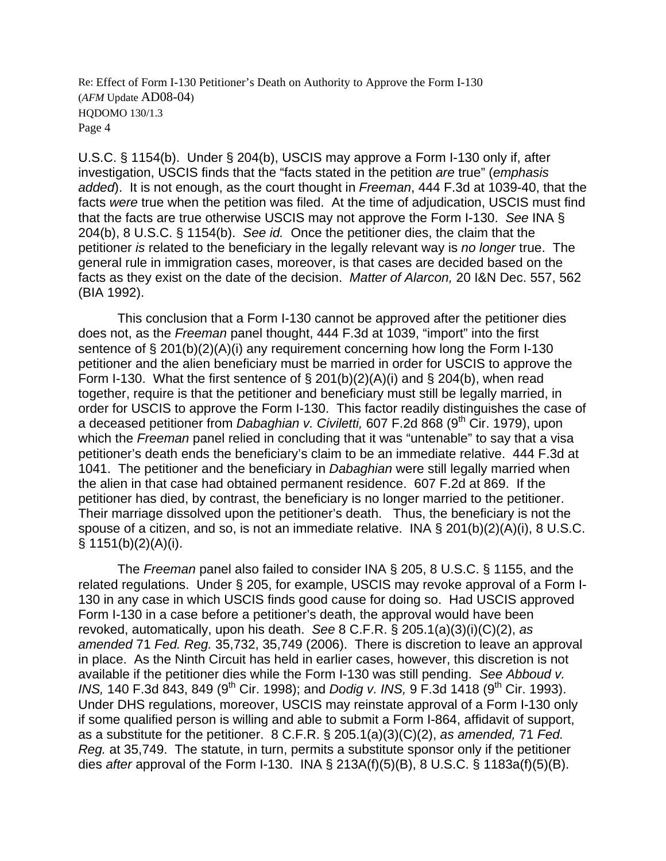U.S.C. § 1154(b). Under § 204(b), USCIS may approve a Form I-130 only if, after investigation, USCIS finds that the "facts stated in the petition *are* true" (*emphasis added*). It is not enough, as the court thought in *Freeman*, 444 F.3d at 1039-40, that the facts *were* true when the petition was filed. At the time of adjudication, USCIS must find that the facts are true otherwise USCIS may not approve the Form I-130. *See* INA § 204(b), 8 U.S.C. § 1154(b). *See id.* Once the petitioner dies, the claim that the petitioner *is* related to the beneficiary in the legally relevant way is *no longer* true. The general rule in immigration cases, moreover, is that cases are decided based on the facts as they exist on the date of the decision. *Matter of Alarcon,* 20 I&N Dec. 557, 562 (BIA 1992).

This conclusion that a Form I-130 cannot be approved after the petitioner dies does not, as the *Freeman* panel thought, 444 F.3d at 1039, "import" into the first sentence of § 201(b)(2)(A)(i) any requirement concerning how long the Form I-130 petitioner and the alien beneficiary must be married in order for USCIS to approve the Form I-130. What the first sentence of  $\S$  201(b)(2)(A)(i) and  $\S$  204(b), when read together, require is that the petitioner and beneficiary must still be legally married, in order for USCIS to approve the Form I-130. This factor readily distinguishes the case of a deceased petitioner from *Dabaghian v. Civiletti*, 607 F.2d 868 (9<sup>th</sup> Cir. 1979), upon which the *Freeman* panel relied in concluding that it was "untenable" to say that a visa petitioner's death ends the beneficiary's claim to be an immediate relative. 444 F.3d at 1041. The petitioner and the beneficiary in *Dabaghian* were still legally married when the alien in that case had obtained permanent residence. 607 F.2d at 869. If the petitioner has died, by contrast, the beneficiary is no longer married to the petitioner. Their marriage dissolved upon the petitioner's death. Thus, the beneficiary is not the spouse of a citizen, and so, is not an immediate relative. INA § 201(b)(2)(A)(i), 8 U.S.C.  $§ 1151(b)(2)(A)(i).$ 

The *Freeman* panel also failed to consider INA § 205, 8 U.S.C. § 1155, and the related regulations. Under § 205, for example, USCIS may revoke approval of a Form I-130 in any case in which USCIS finds good cause for doing so. Had USCIS approved Form I-130 in a case before a petitioner's death, the approval would have been revoked, automatically, upon his death. *See* 8 C.F.R. § 205.1(a)(3)(i)(C)(2), *as amended* 71 *Fed. Reg.* 35,732, 35,749 (2006). There is discretion to leave an approval in place. As the Ninth Circuit has held in earlier cases, however, this discretion is not available if the petitioner dies while the Form I-130 was still pending. *See Abboud v. INS*, 140 F.3d 843, 849 (9<sup>th</sup> Cir. 1998); and *Dodig v. INS*, 9 F.3d 1418 (9<sup>th</sup> Cir. 1993). Under DHS regulations, moreover, USCIS may reinstate approval of a Form I-130 only if some qualified person is willing and able to submit a Form I-864, affidavit of support, as a substitute for the petitioner. 8 C.F.R. § 205.1(a)(3)(C)(2), *as amended,* 71 *Fed. Reg.* at 35,749. The statute, in turn, permits a substitute sponsor only if the petitioner dies *after* approval of the Form I-130. INA § 213A(f)(5)(B), 8 U.S.C. § 1183a(f)(5)(B).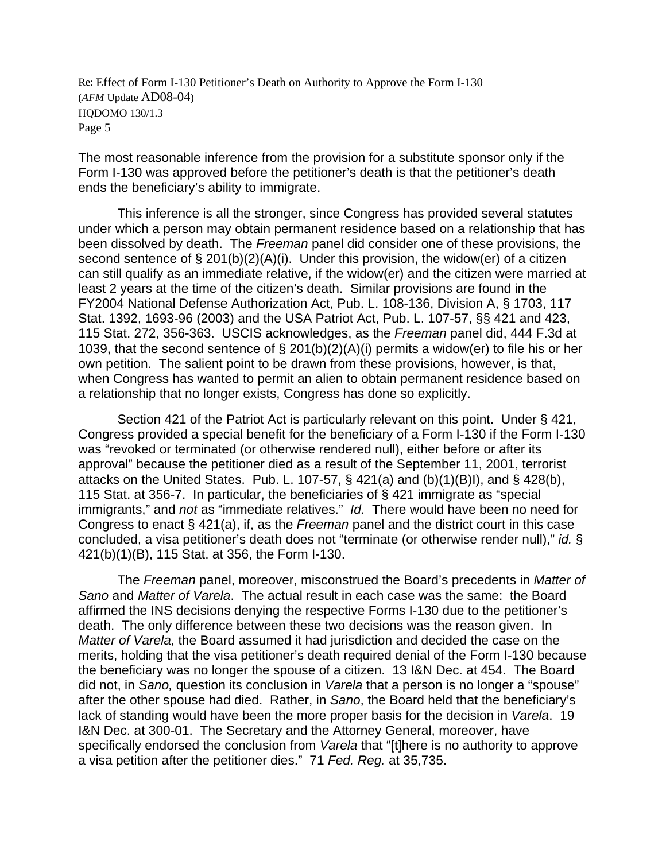The most reasonable inference from the provision for a substitute sponsor only if the Form I-130 was approved before the petitioner's death is that the petitioner's death ends the beneficiary's ability to immigrate.

This inference is all the stronger, since Congress has provided several statutes under which a person may obtain permanent residence based on a relationship that has been dissolved by death. The *Freeman* panel did consider one of these provisions, the second sentence of  $\S 201(b)(2)(A)(i)$ . Under this provision, the widow(er) of a citizen can still qualify as an immediate relative, if the widow(er) and the citizen were married at least 2 years at the time of the citizen's death. Similar provisions are found in the FY2004 National Defense Authorization Act, Pub. L. 108-136, Division A, § 1703, 117 Stat. 1392, 1693-96 (2003) and the USA Patriot Act, Pub. L. 107-57, §§ 421 and 423, 115 Stat. 272, 356-363. USCIS acknowledges, as the *Freeman* panel did, 444 F.3d at 1039, that the second sentence of § 201(b)(2)(A)(i) permits a widow(er) to file his or her own petition. The salient point to be drawn from these provisions, however, is that, when Congress has wanted to permit an alien to obtain permanent residence based on a relationship that no longer exists, Congress has done so explicitly.

Section 421 of the Patriot Act is particularly relevant on this point. Under § 421, Congress provided a special benefit for the beneficiary of a Form I-130 if the Form I-130 was "revoked or terminated (or otherwise rendered null), either before or after its approval" because the petitioner died as a result of the September 11, 2001, terrorist attacks on the United States. Pub. L. 107-57, § 421(a) and (b)(1)(B)I), and § 428(b), 115 Stat. at 356-7. In particular, the beneficiaries of § 421 immigrate as "special immigrants," and *not* as "immediate relatives." *Id.* There would have been no need for Congress to enact § 421(a), if, as the *Freeman* panel and the district court in this case concluded, a visa petitioner's death does not "terminate (or otherwise render null)," *id.* § 421(b)(1)(B), 115 Stat. at 356, the Form I-130.

The *Freeman* panel, moreover, misconstrued the Board's precedents in *Matter of Sano* and *Matter of Varela*. The actual result in each case was the same: the Board affirmed the INS decisions denying the respective Forms I-130 due to the petitioner's death. The only difference between these two decisions was the reason given. In *Matter of Varela,* the Board assumed it had jurisdiction and decided the case on the merits, holding that the visa petitioner's death required denial of the Form I-130 because the beneficiary was no longer the spouse of a citizen. 13 I&N Dec. at 454. The Board did not, in *Sano,* question its conclusion in *Varela* that a person is no longer a "spouse" after the other spouse had died. Rather, in *Sano*, the Board held that the beneficiary's lack of standing would have been the more proper basis for the decision in *Varela*. 19 I&N Dec. at 300-01. The Secretary and the Attorney General, moreover, have specifically endorsed the conclusion from *Varela* that "[t]here is no authority to approve a visa petition after the petitioner dies." 71 *Fed. Reg.* at 35,735.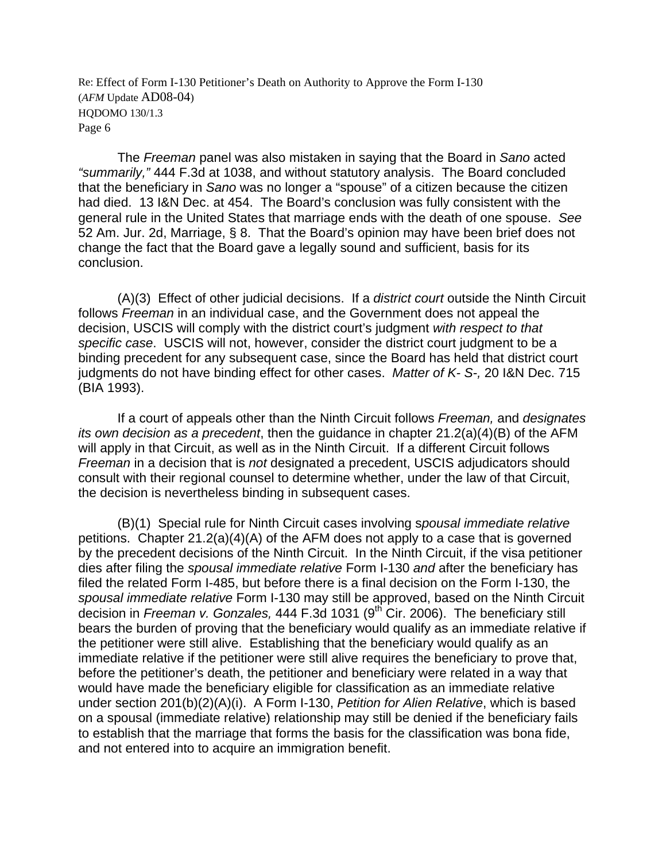The *Freeman* panel was also mistaken in saying that the Board in *Sano* acted *"summarily,"* 444 F.3d at 1038, and without statutory analysis. The Board concluded that the beneficiary in *Sano* was no longer a "spouse" of a citizen because the citizen had died. 13 I&N Dec. at 454. The Board's conclusion was fully consistent with the general rule in the United States that marriage ends with the death of one spouse. *See* 52 Am. Jur. 2d, Marriage, § 8. That the Board's opinion may have been brief does not change the fact that the Board gave a legally sound and sufficient, basis for its conclusion.

 (A)(3) Effect of other judicial decisions. If a *district court* outside the Ninth Circuit follows *Freeman* in an individual case, and the Government does not appeal the decision, USCIS will comply with the district court's judgment *with respect to that specific case*. USCIS will not, however, consider the district court judgment to be a binding precedent for any subsequent case, since the Board has held that district court judgments do not have binding effect for other cases. *Matter of K- S-,* 20 I&N Dec. 715 (BIA 1993).

 If a court of appeals other than the Ninth Circuit follows *Freeman,* and *designates its own decision as a precedent*, then the guidance in chapter 21.2(a)(4)(B) of the AFM will apply in that Circuit, as well as in the Ninth Circuit. If a different Circuit follows *Freeman* in a decision that is *not* designated a precedent, USCIS adjudicators should consult with their regional counsel to determine whether, under the law of that Circuit, the decision is nevertheless binding in subsequent cases.

(B)(1) Special rule for Ninth Circuit cases involving s*pousal immediate relative*  petitions. Chapter 21.2(a)(4)(A) of the AFM does not apply to a case that is governed by the precedent decisions of the Ninth Circuit. In the Ninth Circuit, if the visa petitioner dies after filing the *spousal immediate relative* Form I-130 *and* after the beneficiary has filed the related Form I-485, but before there is a final decision on the Form I-130, the *spousal immediate relative* Form I-130 may still be approved, based on the Ninth Circuit decision in *Freeman v. Gonzales*, 444 F.3d 1031 (9<sup>th</sup> Cir. 2006). The beneficiary still bears the burden of proving that the beneficiary would qualify as an immediate relative if the petitioner were still alive. Establishing that the beneficiary would qualify as an immediate relative if the petitioner were still alive requires the beneficiary to prove that, before the petitioner's death, the petitioner and beneficiary were related in a way that would have made the beneficiary eligible for classification as an immediate relative under section 201(b)(2)(A)(i). A Form I-130, *Petition for Alien Relative*, which is based on a spousal (immediate relative) relationship may still be denied if the beneficiary fails to establish that the marriage that forms the basis for the classification was bona fide, and not entered into to acquire an immigration benefit.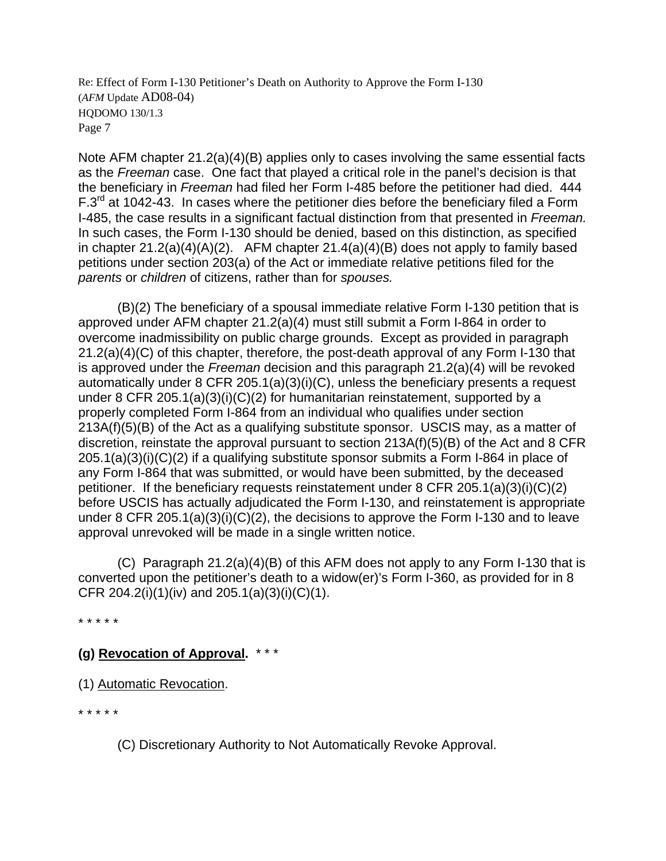Note AFM chapter 21.2(a)(4)(B) applies only to cases involving the same essential facts as the *Freeman* case. One fact that played a critical role in the panel's decision is that the beneficiary in *Freeman* had filed her Form I-485 before the petitioner had died. 444  $F.3<sup>rd</sup>$  at 1042-43. In cases where the petitioner dies before the beneficiary filed a Form I-485, the case results in a significant factual distinction from that presented in *Freeman.* In such cases, the Form I-130 should be denied, based on this distinction, as specified in chapter  $21.2(a)(4)(A)(2)$ . AFM chapter  $21.4(a)(4)(B)$  does not apply to family based petitions under section 203(a) of the Act or immediate relative petitions filed for the *parents* or *children* of citizens, rather than for *spouses.*

 (B)(2) The beneficiary of a spousal immediate relative Form I-130 petition that is approved under AFM chapter 21.2(a)(4) must still submit a Form I-864 in order to overcome inadmissibility on public charge grounds. Except as provided in paragraph 21.2(a)(4)(C) of this chapter, therefore, the post-death approval of any Form I-130 that is approved under the *Freeman* decision and this paragraph 21.2(a)(4) will be revoked automatically under 8 CFR 205.1(a)(3)(i)(C), unless the beneficiary presents a request under 8 CFR 205.1(a)(3)(i)(C)(2) for humanitarian reinstatement, supported by a properly completed Form I-864 from an individual who qualifies under section 213A(f)(5)(B) of the Act as a qualifying substitute sponsor. USCIS may, as a matter of discretion, reinstate the approval pursuant to section 213A(f)(5)(B) of the Act and 8 CFR 205.1(a)(3)(i)(C)(2) if a qualifying substitute sponsor submits a Form I-864 in place of any Form I-864 that was submitted, or would have been submitted, by the deceased petitioner. If the beneficiary requests reinstatement under 8 CFR 205.1(a)(3)(i)(C)(2) before USCIS has actually adjudicated the Form I-130, and reinstatement is appropriate under 8 CFR 205.1(a)(3)(i)(C)(2), the decisions to approve the Form I-130 and to leave approval unrevoked will be made in a single written notice.

 (C) Paragraph 21.2(a)(4)(B) of this AFM does not apply to any Form I-130 that is converted upon the petitioner's death to a widow(er)'s Form I-360, as provided for in 8 CFR 204.2(i)(1)(iv) and 205.1(a)(3)(i)(C)(1).

\* \* \* \* \*

# **(g) Revocation of Approval.** \* \* \*

(1) Automatic Revocation.

\* \* \* \* \*

(C) Discretionary Authority to Not Automatically Revoke Approval.